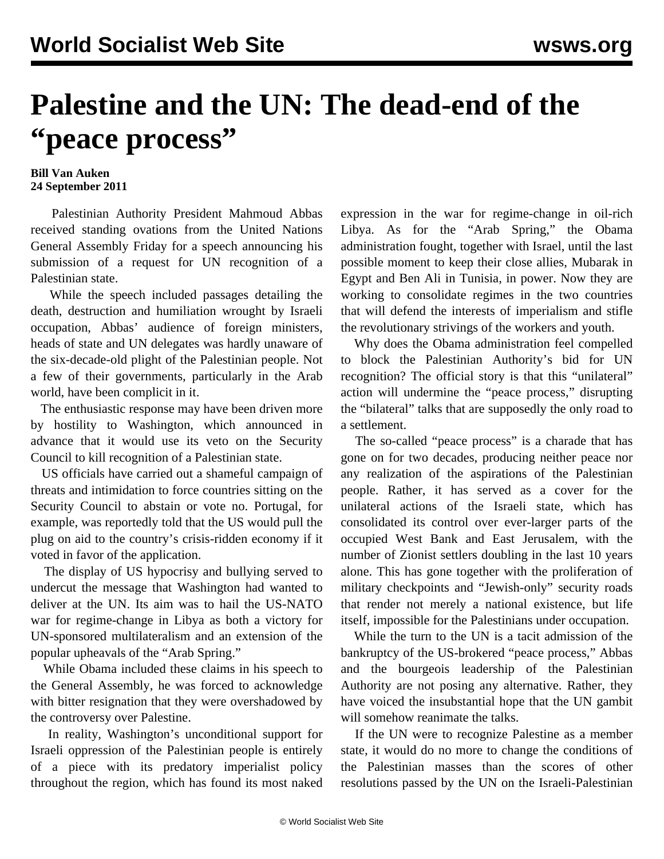## **Palestine and the UN: The dead-end of the "peace process"**

## **Bill Van Auken 24 September 2011**

 Palestinian Authority President Mahmoud Abbas received standing ovations from the United Nations General Assembly Friday for a speech announcing his submission of a request for UN recognition of a Palestinian state.

 While the speech included passages detailing the death, destruction and humiliation wrought by Israeli occupation, Abbas' audience of foreign ministers, heads of state and UN delegates was hardly unaware of the six-decade-old plight of the Palestinian people. Not a few of their governments, particularly in the Arab world, have been complicit in it.

 The enthusiastic response may have been driven more by hostility to Washington, which announced in advance that it would use its veto on the Security Council to kill recognition of a Palestinian state.

 US officials have carried out a shameful campaign of threats and intimidation to force countries sitting on the Security Council to abstain or vote no. Portugal, for example, was reportedly told that the US would pull the plug on aid to the country's crisis-ridden economy if it voted in favor of the application.

 The display of US hypocrisy and bullying served to undercut the message that Washington had wanted to deliver at the UN. Its aim was to hail the US-NATO war for regime-change in Libya as both a victory for UN-sponsored multilateralism and an extension of the popular upheavals of the "Arab Spring."

 While Obama included these claims in his speech to the General Assembly, he was forced to acknowledge with bitter resignation that they were overshadowed by the controversy over Palestine.

 In reality, Washington's unconditional support for Israeli oppression of the Palestinian people is entirely of a piece with its predatory imperialist policy throughout the region, which has found its most naked expression in the war for regime-change in oil-rich Libya. As for the "Arab Spring," the Obama administration fought, together with Israel, until the last possible moment to keep their close allies, Mubarak in Egypt and Ben Ali in Tunisia, in power. Now they are working to consolidate regimes in the two countries that will defend the interests of imperialism and stifle the revolutionary strivings of the workers and youth.

 Why does the Obama administration feel compelled to block the Palestinian Authority's bid for UN recognition? The official story is that this "unilateral" action will undermine the "peace process," disrupting the "bilateral" talks that are supposedly the only road to a settlement.

 The so-called "peace process" is a charade that has gone on for two decades, producing neither peace nor any realization of the aspirations of the Palestinian people. Rather, it has served as a cover for the unilateral actions of the Israeli state, which has consolidated its control over ever-larger parts of the occupied West Bank and East Jerusalem, with the number of Zionist settlers doubling in the last 10 years alone. This has gone together with the proliferation of military checkpoints and "Jewish-only" security roads that render not merely a national existence, but life itself, impossible for the Palestinians under occupation.

 While the turn to the UN is a tacit admission of the bankruptcy of the US-brokered "peace process," Abbas and the bourgeois leadership of the Palestinian Authority are not posing any alternative. Rather, they have voiced the insubstantial hope that the UN gambit will somehow reanimate the talks.

 If the UN were to recognize Palestine as a member state, it would do no more to change the conditions of the Palestinian masses than the scores of other resolutions passed by the UN on the Israeli-Palestinian